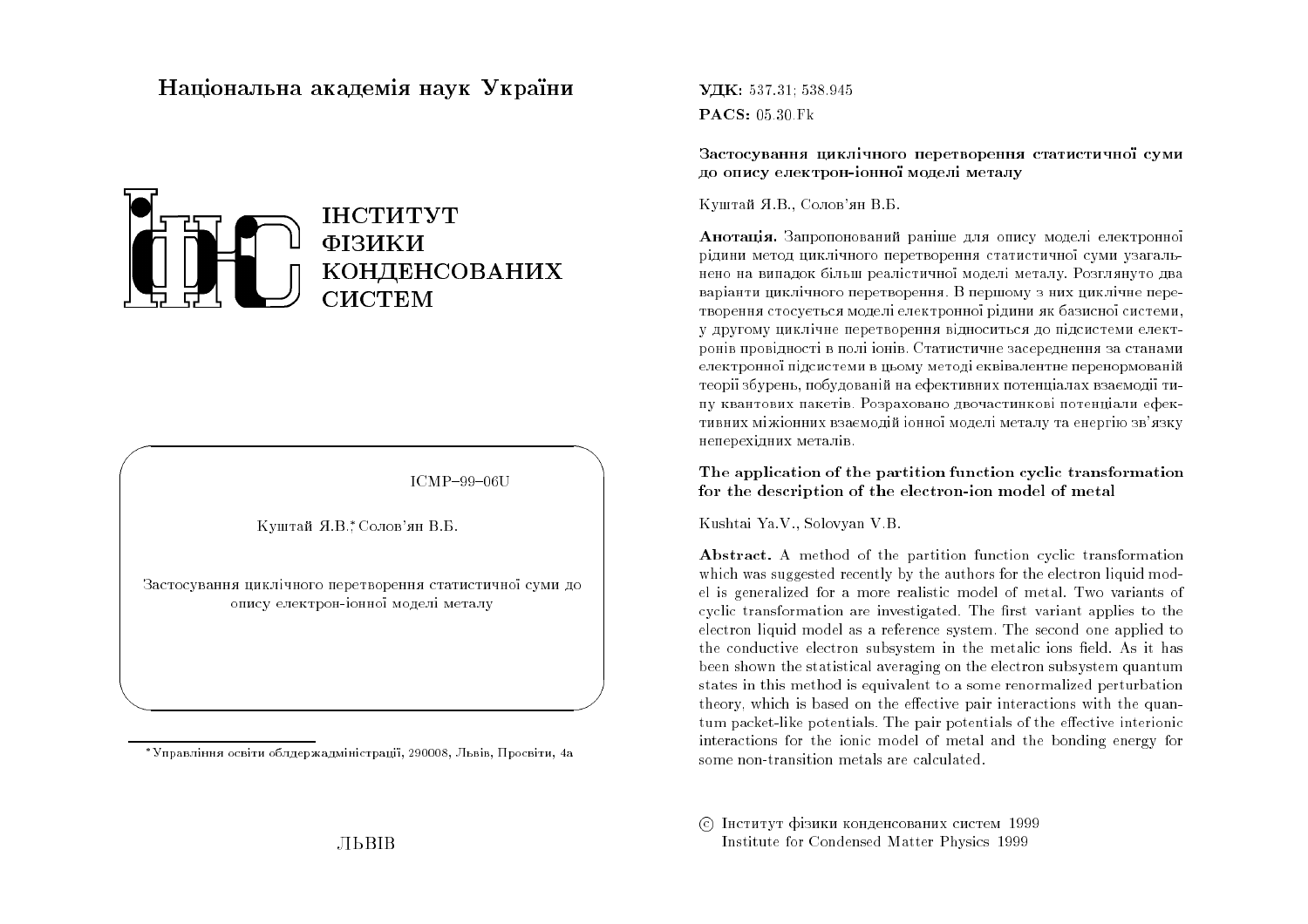## Національна академія наук України



# ІНСТИТУТ ФІЗИКИ КОНДЕНСОВАНИХ **CHCTEM**

 $ICMP-99-06U$ 

Куштай Я.В. Солов'ян В.Б.

Застосування циклічного перетворення статистичної суми до опису електрон-іонної моделі металу

\*Управління освіти облдержадміністрації, 290008, Львів, Просвіти, 4а

УДК: 537 31: 538.945  $\textbf{PACS}: 05.30 \text{ Fk}$ 

Застосування циклічного перетворення статистичної суми до опису електрон-іонної моделі металу

Куштай Я.В., Солов'ян В.Б.

Анотація. Запропонований раніше для опису моделі електронної рідини метод циклічного перетворення статистичної суми узагальнено на випадок більш реалістичної моделі металу. Розглянуто два варіанти циклічного перетворення. В першому з них циклічне перетворення стосується моделі електронної рідини як базисної системи. у другому циклічне перетворення відноситься до підсистеми електронів провідності в полі іонів. Статистичне засереднення за станами електронної підсистеми в цьому методі еквівалентне перенормованій теорії збурень, побудованій на ефективних потенціалах взаємодії типу квантових пакетів. Розраховано двочастинкові потенціали ефективних міжіонних взаємодій іонної моделі металу та енергію зв'язку неперехідних металів.

#### The application of the partition function cyclic transformation for the description of the electron-ion model of metal

Kushtai Ya.V., Solovyan V.B.

Abstract. A method of the partition function cyclic transformation which was suggested recently by the authors for the electron liquid model is generalized for a more realistic model of metal. Two variants of cyclic transformation are investigated. The first variant applies to the electron liquid model as a reference system. The second one applied to the conductive electron subsystem in the metalic ions field. As it has been shown the statistical averaging on the electron subsystem quantum states in this method is equivalent to a some renormalized perturbation theory, which is based on the effective pair interactions with the quantum packet-like potentials. The pair potentials of the effective interionic interactions for the ionic model of metal and the bonding energy for some non-transition metals are calculated.

С Інститут фізики конденсованих систем 1999 Institute for Condensed Matter Physics 1999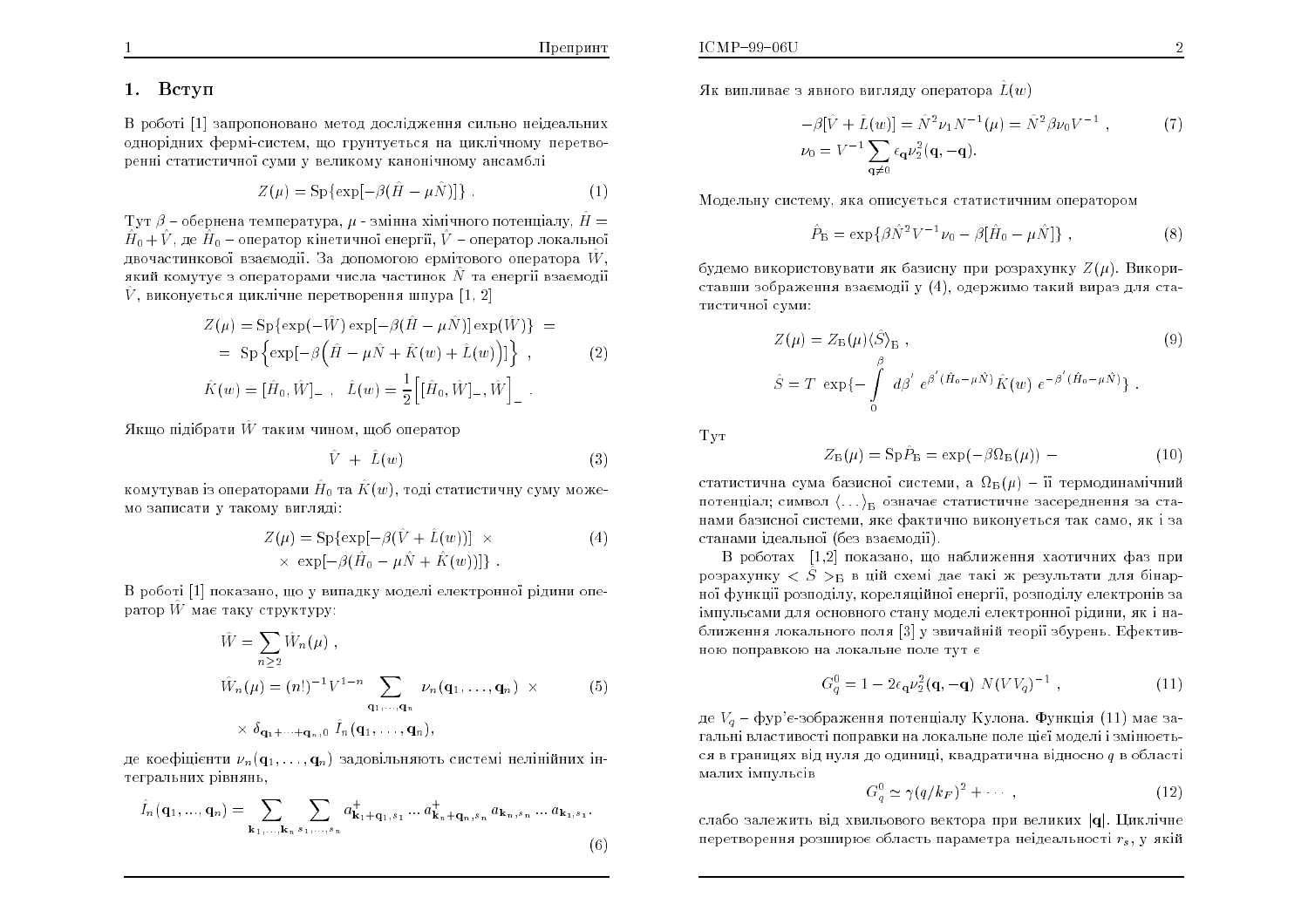#### 1. Вступ

В роботі [1] запропоновано метод дослідження сильно неідеальних однорідних фермі-систем, що грунтується на циклічному перетворенні статистичної суми у великому канонічному ансамблі

$$
Z(\mu) = \mathrm{Sp}\{\exp[-\beta(\hat{H} - \mu \hat{N})]\}.
$$
 (1)

 $\mathop{\rm Tyr}\nolimits \beta$  – обернена температура,  $\mu$  - змінна хімічного потенціалу,  $\hat{H} = \hat{A}$  $\hat{H}_0 + \hat{V}$ , де  $\hat{H}_0$  – оператор кінетичної енергії,  $\hat{V}$  – оператор локальної двочастинкової взаємодії. За допомогою ермітового оператора  $\hat{W}$ ,  $\hat{W}$ який комутує з операторами числа частинок  $\hat N$  та енергії взаємодії  $\hat{V}$ , виконується циклічне перетворення шпура  $[1,\,2]$ 

$$
Z(\mu) = \text{Sp}\{\exp(-\hat{W}) \exp[-\beta(\hat{H} - \mu \hat{N})] \exp(\hat{W})\} =
$$
  
= 
$$
\text{Sp}\left\{\exp[-\beta(\hat{H} - \mu \hat{N} + \hat{K}(w) + \hat{L}(w))]\right\},
$$
 (2)

$$
\hat{K}(w) = [\hat{H}_0, \hat{W}]_-\, , \quad \hat{L}(w) = \frac{1}{2} [ [\hat{H}_0, \hat{W}]_-, \hat{W}]_-\, .
$$

Якщо підібрати  $\hat{W}$  таким чином, щоб оператор

$$
\hat{V} + \hat{L}(w) \tag{3}
$$

комутував із операторами  $\hat{H}_0$  та  $\hat{K}(w)$ , тоді статистичну суму можемо записати у такому вигл*я*ді:

$$
Z(\mu) = \text{Sp}\{\exp[-\beta(\hat{V} + \hat{L}(w))] \times \times \exp[-\beta(\hat{H}_0 - \mu \hat{N} + \hat{K}(w))]\}.
$$
\n(4)

В роботі [1] показано, що у випадку моделі електронної рідини оператор  $\hat{W}$  має таку структуру:

$$
\hat{W} = \sum_{n\geq 2} \hat{W}_n(\mu) ,
$$
\n
$$
\hat{W}_n(\mu) = (n!)^{-1} V^{1-n} \sum_{\mathbf{q}_1,\dots,\mathbf{q}_n} \nu_n(\mathbf{q}_1,\dots,\mathbf{q}_n) \times \qquad (5)
$$
\n
$$
\times \delta_{\mathbf{q}_1 + \dots + \mathbf{q}_{n},0} \hat{I}_n(\mathbf{q}_1,\dots,\mathbf{q}_n),
$$

де коефіцієнти  $\nu_n(\mathbf{q}_1, \dots, \mathbf{q}_n)$  задовільняють системі нелінійних інтегральних рівнянь<sub>;</sub>

$$
\hat{I}_n(\mathbf{q}_1, ..., \mathbf{q}_n) = \sum_{\mathbf{k}_1, ..., \mathbf{k}_n} \sum_{s_1, ..., s_n} a^+_{\mathbf{k}_1 + \mathbf{q}_1, s_1} ... a^+_{\mathbf{k}_n + \mathbf{q}_n, s_n} a_{\mathbf{k}_n, s_n} ... a_{\mathbf{k}_1, s_1}.
$$
\n(6)

Як випливає з явного вигляду оператора  $\hat{L}(w)$ 

$$
-\beta[\hat{V} + \hat{L}(w)] = \hat{N}^{2}\nu_{1}N^{-1}(\mu) = \hat{N}^{2}\beta\nu_{0}V^{-1},
$$
  
\n
$$
\nu_{0} = V^{-1}\sum_{\mathbf{q}\neq 0} \epsilon_{\mathbf{q}}\nu_{2}^{2}(\mathbf{q}, -\mathbf{q}).
$$
\n(7)

Модельну систему, яка описується статистичним оператором

$$
\hat{P}_{\rm B} = \exp\{\beta \hat{N}^2 V^{-1} \nu_0 - \beta [\hat{H}_0 - \mu \hat{N}] \}, \qquad (8)
$$

будемо використовувати як базисну при розрахунку  $Z(\mu)$ . Використавши зображення взаємодії у  $\left( 4\right) ,$  одержимо такий вираз для статистичної суми:

$$
Z(\mu) = Z_{\rm B}(\mu) \langle \hat{S} \rangle_{\rm B} ,
$$
  

$$
\hat{S} = T \exp \{-\int_{0}^{\beta} d\beta' e^{\beta'(\hat{H}_{0} - \mu \hat{N})} \hat{K}(w) e^{-\beta'(\hat{H}_{0} - \mu \hat{N})} \} .
$$
<sup>(9)</sup>

Ty<sub>T</sub>

$$
Z_{\rm B}(\mu) = \rm Sp \hat{P}_{\rm B} = \exp(-\beta \Omega_{\rm B}(\mu)) - (10)
$$

статистична сума базисної системи, а  $\Omega_{\rm B}(\mu)$  – її термодинамічний потенціал; символ  $\left\langle \ldots \right\rangle_{\rm E}$  означає статистичне засереднення за станами базисної системи, яке фактично виконується так само, як і за станами ідеальної (без взаємодії).

В роботах  $[1,2]$  показано, що наближення хаотичних фаз при розрахунку  $\hat{S}$  > в ційсхемі дає такі ж результати для бінарної функції розподілу, кореляційної енергії, розподілу електронів за імпульсами для основного стану моделі електронної рідини, як і наближення локального поля [3] у звичайній теорії збурень. Ефективною поправкою на локальне поле тут є

$$
G_q^0 = 1 - 2\epsilon_{\mathbf{q}}\nu_2^2(\mathbf{q}, -\mathbf{q}) \ N(VV_q)^{-1} \ , \qquad (11)
$$

де  $V_q$  – фур'є-зображення потенціалу Кулона. Функція  $(11)$  має загальні властивості поправки на локальне поле цієї моделі і змінюється в границях від нуля до одиниці, квадратична відносно  $q$  в області малих імпульсів

$$
G_q^0 \simeq \gamma (q/k_F)^2 + \cdots , \qquad (12)
$$

слабо залежить від хвильового вектора при великих  $|\mathbf{q}|$ . Циклічне перетворення розширює область параметра неідеальності  $r_s\, , \, {\rm y} \,$ якій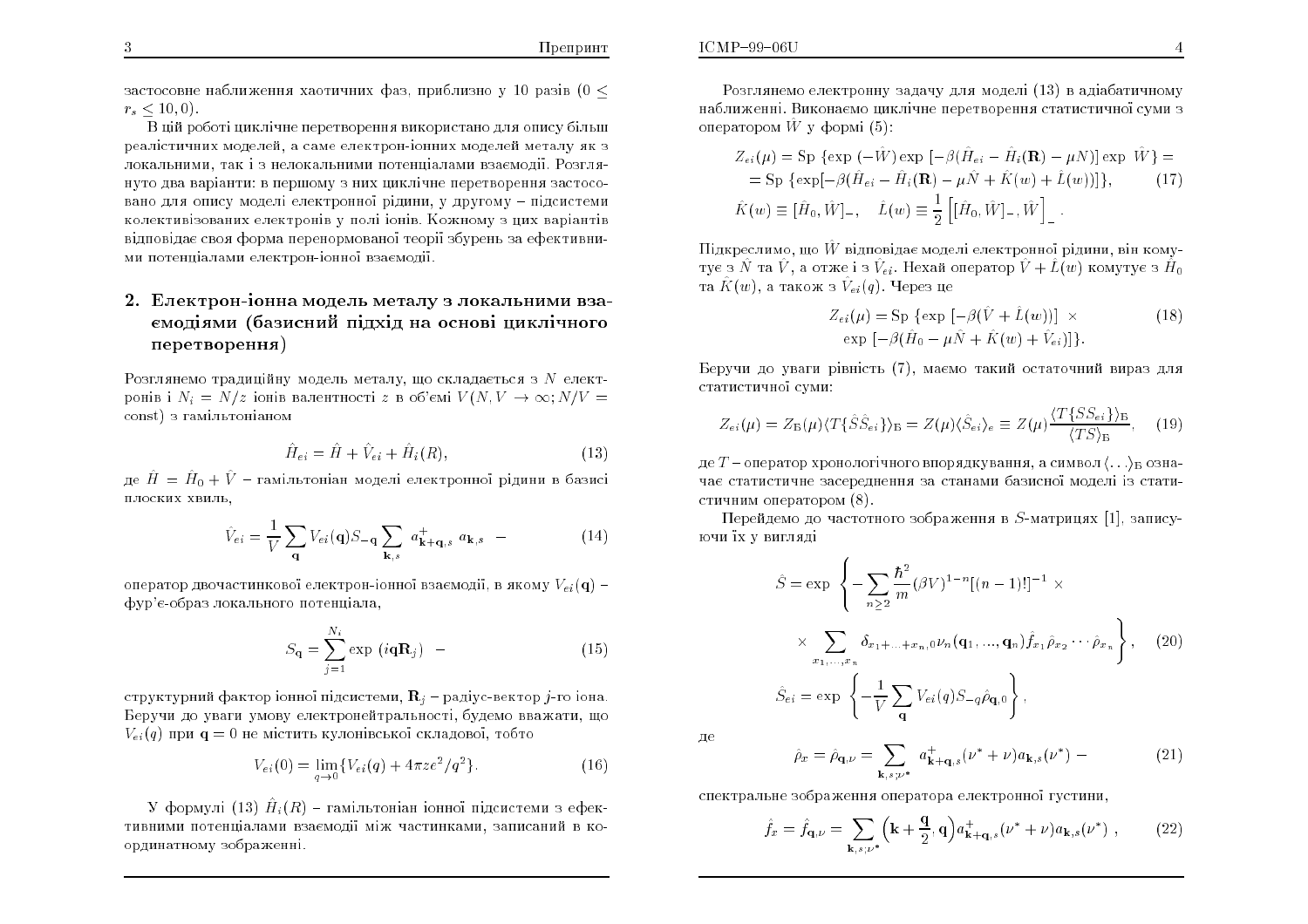застосовне наближення хаотичних фаз. приблизно у 10 разів (0  $\leq$  $r_s < 10, 0$ 

В цій роботі циклічне перетворення використано для опису більш реалістичних моделей, а саме електрон-іонних моделей металу як з локальними, так і з нелокальними потенціалами взаємодії. Розглянуто два варіанти: в першому з них циклічне перетворення застосовано для опису моделі електронної рідини, у другому - підсистеми колективізованих електронів у полі іонів. Кожному з цих варіантів відповідає своя форма перенормованої теорії збурень за ефективними потенціалами електрон-іонної взаємодії.

## 2. Електрон-іонна модель металу з локальними взаємодіями (базисний підхід на основі циклічного перетворення)

Розглянемо традиційну модель металу, що складається з  $N$  електронів і  $N_i = N/z$  іонів валентності z в об'ємі  $V(N, V \rightarrow \infty; N/V =$ const) з гамільтоніаном

$$
\hat{H}_{ei} = \hat{H} + \hat{V}_{ei} + \hat{H}_i(R),\tag{13}
$$

де  $\hat{H} = \hat{H}_0 + \hat{V}$  - гамільтоніан моделі електронної рідини в базисі плоских хвиль,

$$
\hat{V}_{ei} = \frac{1}{V} \sum_{\mathbf{q}} V_{ei}(\mathbf{q}) S_{-\mathbf{q}} \sum_{\mathbf{k},s} a_{\mathbf{k}+\mathbf{q},s}^{+} a_{\mathbf{k},s} \quad - \tag{14}
$$

оператор двочастинкової електрон-іонної взаємодії, в якому  $V_{ei}(\mathbf{q})$  – фур'є-образ локального потенціала,

$$
S_{\mathbf{q}} = \sum_{j=1}^{N_i} \exp(i\mathbf{q}\mathbf{R}_j) \quad - \tag{15}
$$

структурний фактор іонної підсистеми,  $\mathbf{R}_i$  – радіус-вектор *j*-го іона. Беручи до уваги умову електронейтральності, будемо вважати, що  $V_{ei}(q)$  при  $q = 0$  не містить кулонівської складової, тобто

$$
V_{ei}(0) = \lim_{q \to 0} \{ V_{ei}(q) + 4\pi z e^2 / q^2 \}.
$$
 (16)

У формулі (13)  $\hat{H}_i(R)$  - гамільтоніан іонної підсистеми з ефективними потенціалами взаємодії між частинками, записаний в координатному зображенні.

Розглянемо електронну задачу для моделі (13) в адіабатичному наближенні. Виконаємо циклічне перетворення статистичної суми з оператором  $\hat{W}$  у формі  $(5)$ :

$$
Z_{ei}(\mu) = \text{Sp} \{ \exp \left( -\hat{W} \right) \exp \left[ -\beta (\hat{H}_{ei} - \hat{H}_i(\mathbf{R}) - \mu N) \right] \exp \hat{W} \} =
$$
  
= 
$$
\text{Sp} \{ \exp[-\beta (\hat{H}_{ei} - \hat{H}_i(\mathbf{R}) - \mu \hat{N} + \hat{K}(w) + \hat{L}(w))] \}, \qquad (17)
$$
  

$$
\hat{K}(w) \equiv [\hat{H}_0, \hat{W}]_-, \quad \hat{L}(w) \equiv \frac{1}{2} \left[ [\hat{H}_0, \hat{W}]_-, \hat{W} \right]_-.
$$

Підкреслимо, що  $\hat{W}$  відповідає моделі електронної рідини, він комутує з  $\hat{N}$  та  $\hat{V}$ , а отже і з  $\hat{V}_{ei}$ . Нехай оператор  $\hat{V} + \hat{L}(w)$  комутує з  $\hat{H}_0$ та  $\hat{K}(w)$ , а також з  $\hat{V}_{ei}(q)$ . Через це

$$
Z_{ei}(\mu) = \text{Sp} \{ \exp \left[ -\beta(\tilde{V} + \tilde{L}(w)) \right] \times
$$
  
exp \left[ -\beta(\hat{H}\_0 - \mu \hat{N} + \hat{K}(w) + \hat{V}\_{ei}) \right] \}. (18)

Беручи до уваги рівність (7), маємо такий остаточний вираз для статистичної суми:

$$
Z_{ei}(\mu) = Z_{\rm B}(\mu) \langle T\{\hat{S}\hat{S}_{ei}\}\rangle_{\rm B} = Z(\mu) \langle \hat{S}_{ei}\rangle_{e} \equiv Z(\mu) \frac{\langle T\{SS_{ei}\}\rangle_{\rm B}}{\langle TS\rangle_{\rm B}}, \quad (19)
$$

де  $T$  – оператор хронологічного впорядкування, а символ $\langle \ldots \rangle_{\mathbb{B}}$  означає статистичне засереднення за станами базисної моделі із статистичним оператором (8).

Перейдемо до частотного зображення в  $S$ -матрицях [1], записуючи їх у вигляді

$$
\hat{S} = \exp \left\{ -\sum_{n\geq 2} \frac{\hbar^2}{m} (\beta V)^{1-n} [(n-1)!]^{-1} \times \right.
$$

$$
\times \sum_{x_1,\dots,x_n} \delta_{x_1+\dots+x_{n,0}} \nu_n (\mathbf{q}_1,\dots,\mathbf{q}_n) \hat{f}_{x_1} \hat{\rho}_{x_2} \cdots \hat{\rho}_{x_n} \right\}, \quad (20)
$$

$$
\hat{S}_{ei} = \exp \left\{ -\frac{1}{V} \sum_{\mathbf{q}} V_{ei}(q) S_{-q} \hat{\rho}_{\mathbf{q},0} \right\},
$$

де

$$
\hat{\rho}_x = \hat{\rho}_{\mathbf{q},\nu} = \sum_{\mathbf{k}, s; \nu^*} a_{\mathbf{k}+\mathbf{q},s}^+ (\nu^* + \nu) a_{\mathbf{k},s} (\nu^*) - (21)
$$

спектральне зображення оператора електронної густини,

$$
\hat{f}_x = \hat{f}_{\mathbf{q},\nu} = \sum_{\mathbf{k},s;\nu^*} \left(\mathbf{k} + \frac{\mathbf{q}}{2}, \mathbf{q}\right) a_{\mathbf{k}+\mathbf{q},s}^+ (\nu^* + \nu) a_{\mathbf{k},s} (\nu^*) \tag{22}
$$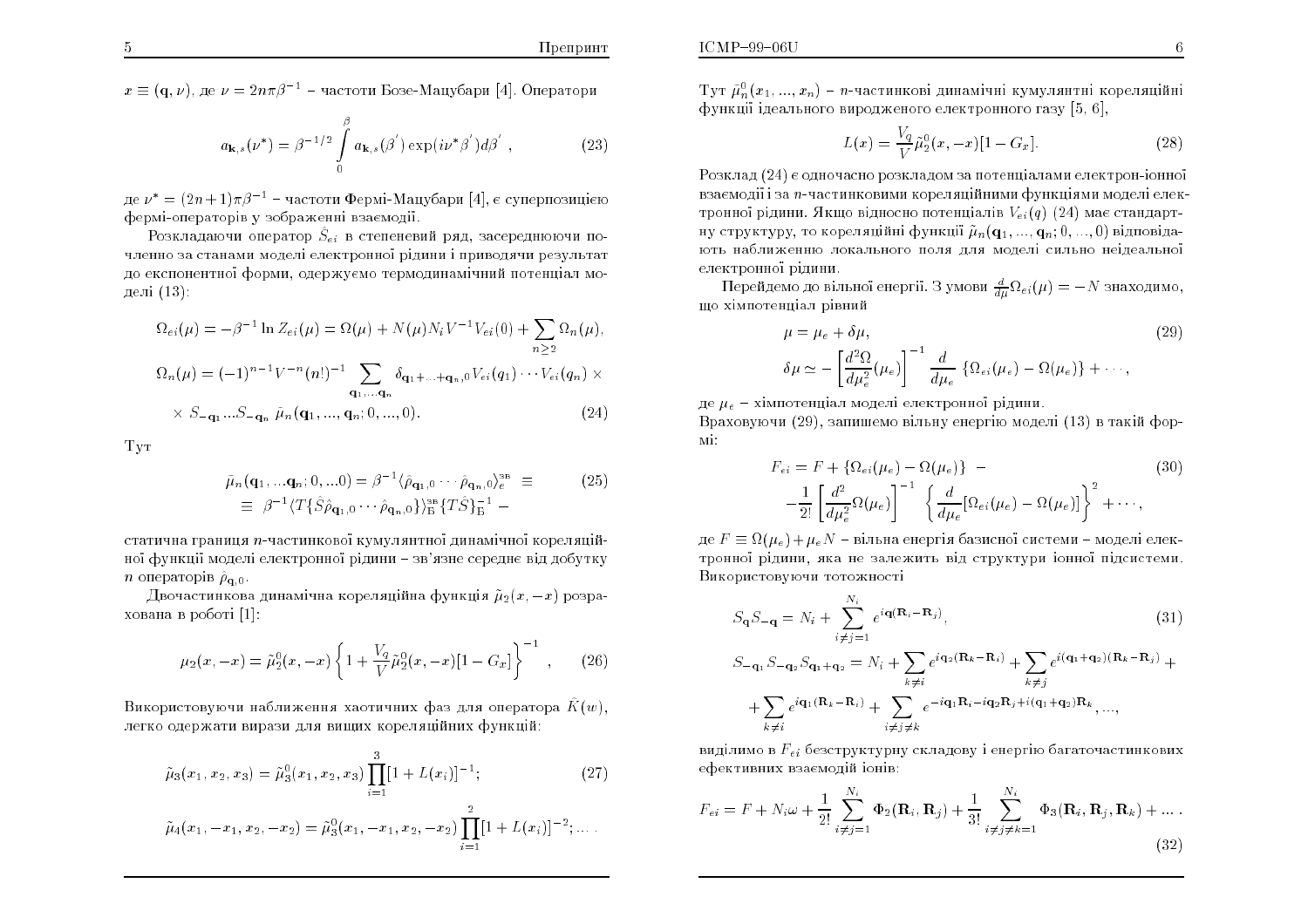$x \equiv (\mathbf{q}, \nu)$ , де  $\nu = 2n\pi\beta^{-1}$  – частоти Бозе-Мацубари [4]. Оператори

$$
a_{\mathbf{k},s}(\nu^*) = \beta^{-1/2} \int_{0}^{\beta} a_{\mathbf{k},s}(\beta') \exp(i\nu^*\beta') d\beta', \qquad (23)
$$

де  $\nu^* = (2n+1)\pi\beta^{-1}$  – частоти Фермі-Мацубари [4], є суперпозицією фермі-операторів у зображенні взаємодії.

Розкладаючи оператор  $\hat{S}_{ei}$  в степеневий ряд, засереднюючи почленно за станами моделі електронної рідини і приводячи результат до експонентної форми, одержуємо термодинамічний потенціал моделі  $(13)$ :

$$
\Omega_{ei}(\mu) = -\beta^{-1} \ln Z_{ei}(\mu) = \Omega(\mu) + N(\mu) N_i V^{-1} V_{ei}(0) + \sum_{n \ge 2} \Omega_n(\mu),
$$
  

$$
\Omega_n(\mu) = (-1)^{n-1} V^{-n} (n!)^{-1} \sum_{\mathbf{q}_1, \dots, \mathbf{q}_n} \delta_{\mathbf{q}_1 + \dots + \mathbf{q}_n, 0} V_{ei}(q_1) \cdots V_{ei}(q_n) \times
$$
  

$$
\times S_{-\mathbf{q}_1} \dots S_{-\mathbf{q}_n} \tilde{\mu}_n(\mathbf{q}_1, \dots, \mathbf{q}_n; 0, \dots, 0).
$$
 (24)

**TyT** 

$$
\tilde{\mu}_n(\mathbf{q}_1, \dots \mathbf{q}_n; 0, \dots 0) = \beta^{-1} \langle \hat{\rho}_{\mathbf{q}_1, 0} \cdots \hat{\rho}_{\mathbf{q}_n, 0} \rangle_e^{\text{3B}} \equiv \qquad (25)
$$
  
\n
$$
\equiv \beta^{-1} \langle T \{ \hat{S} \hat{\rho}_{\mathbf{q}_1, 0} \cdots \hat{\rho}_{\mathbf{q}_n, 0} \} \rangle^{\text{3B}}_{\text{B}} \{ T \hat{S} \}_{\text{B}}^{-1} -
$$

статична границя n-частинкової кумулянтної динамічної кореляційної функції моделі електронної рідини - зв'язне середнє від добутку *n* операторів  $\hat{\rho}_{q,0}$ .

Двочастинкова динамічна кореляційна функція  $\tilde{\mu}_2(x,-x)$  розрахована в роботі [1]:

$$
\mu_2(x, -x) = \tilde{\mu}_2^0(x, -x) \left\{ 1 + \frac{V_q}{V} \tilde{\mu}_2^0(x, -x) [1 - G_x] \right\}^{-1}, \qquad (26)
$$

Використовуючи наближення хаотичних фаз для оператора  $\hat{K}(w)$ , легко одержати вирази для вищих кореляційних функцій:

$$
\tilde{\mu}_3(x_1, x_2, x_3) = \tilde{\mu}_3^0(x_1, x_2, x_3) \prod_{i=1}^3 [1 + L(x_i)]^{-1};\tag{27}
$$

$$
\tilde{\mu}_4(x_1, -x_1, x_2, -x_2) = \tilde{\mu}_3^0(x_1, -x_1, x_2, -x_2) \prod_{i=1}^2 [1 + L(x_i)]^{-2}; \dots
$$

Тут  $\tilde{\mu}_n^0(x_1,...,x_n)$  – *n*-частинкові динамічні кумулянтні кореляційні функції ідеального виродженого електронного газу [5, 6]

$$
L(x) = \frac{V_q}{V} \tilde{\mu}_2^0(x, -x) [1 - G_x]. \tag{28}
$$

Розклад (24) є одночасно розкладом за потенціалами електрон-іонної взаємодії і за *п*-частинковими кореляційними функціями моделі електронної рідини. Якщо відносно потенціалів  $V_{ei}(q)$  (24) має стандартну структуру, то кореляційні функції  $\tilde{\mu}_n(q_1, ..., q_n; 0, ..., 0)$  відповідають наближенню локального поля для моделі сильно неідеальної електронної рідини.

Перейдемо до вільної енергії. З умови  $\frac{d}{d\mu}\Omega_{ei}(\mu) = -N$  знаходимо, що хімпотенціал рівний

$$
\mu = \mu_e + \delta \mu,
$$
\n
$$
\delta \mu \simeq -\left[\frac{d^2 \Omega}{d \mu_e^2}(\mu_e)\right]^{-1} \frac{d}{d \mu_e} \left\{\Omega_{ei}(\mu_e) - \Omega(\mu_e)\right\} + \cdots,
$$
\n(29)

де  $\mu_e$  - хімпотенціал моделі електронної рідини.

Враховуючи (29), запишемо вільну енергію моделі (13) в такій фор- $\overline{M}$ 

$$
F_{ei} = F + \left\{ \Omega_{ei}(\mu_e) - \Omega(\mu_e) \right\} \tag{30}
$$

$$
- \frac{1}{2!} \left[ \frac{d^2}{d\mu_e^2} \Omega(\mu_e) \right]^{-1} \left\{ \frac{d}{d\mu_e} [\Omega_{ei}(\mu_e) - \Omega(\mu_e)] \right\}^2 + \cdots,
$$

де  $F \equiv \Omega(\mu_e) + \mu_e N$  – вільна енергія базисної системи – моделі електронної рідини, яка не залежить від структури іонної підсистеми. Використовуючи тотожності

$$
S_{\mathbf{q}}S_{-\mathbf{q}} = N_i + \sum_{i \neq j=1}^{N_i} e^{i\mathbf{q}(\mathbf{R}_i - \mathbf{R}_j)},
$$
(31)  
\n
$$
S_{-\mathbf{q}_1}S_{-\mathbf{q}_2}S_{\mathbf{q}_1 + \mathbf{q}_2} = N_i + \sum_{k \neq i} e^{i\mathbf{q}_2(\mathbf{R}_k - \mathbf{R}_i)} + \sum_{k \neq j} e^{i(\mathbf{q}_1 + \mathbf{q}_2)(\mathbf{R}_k - \mathbf{R}_j)} + \sum_{k \neq i} e^{i\mathbf{q}_1(\mathbf{R}_k - \mathbf{R}_i)} + \sum_{i \neq j \neq k} e^{-i\mathbf{q}_1(\mathbf{R}_i - i\mathbf{q}_2\mathbf{R}_j + i(\mathbf{q}_1 + \mathbf{q}_2)\mathbf{R}_k}, ...,
$$

виділимо в  $F_{ei}$  безструктурну складову і енергію багаточастинкових ефективних взаємодій іонів:

$$
F_{ei} = F + N_i \omega + \frac{1}{2!} \sum_{i \neq j=1}^{N_i} \Phi_2(\mathbf{R}_i, \mathbf{R}_j) + \frac{1}{3!} \sum_{i \neq j \neq k=1}^{N_i} \Phi_3(\mathbf{R}_i, \mathbf{R}_j, \mathbf{R}_k) + \dots
$$
\n(32)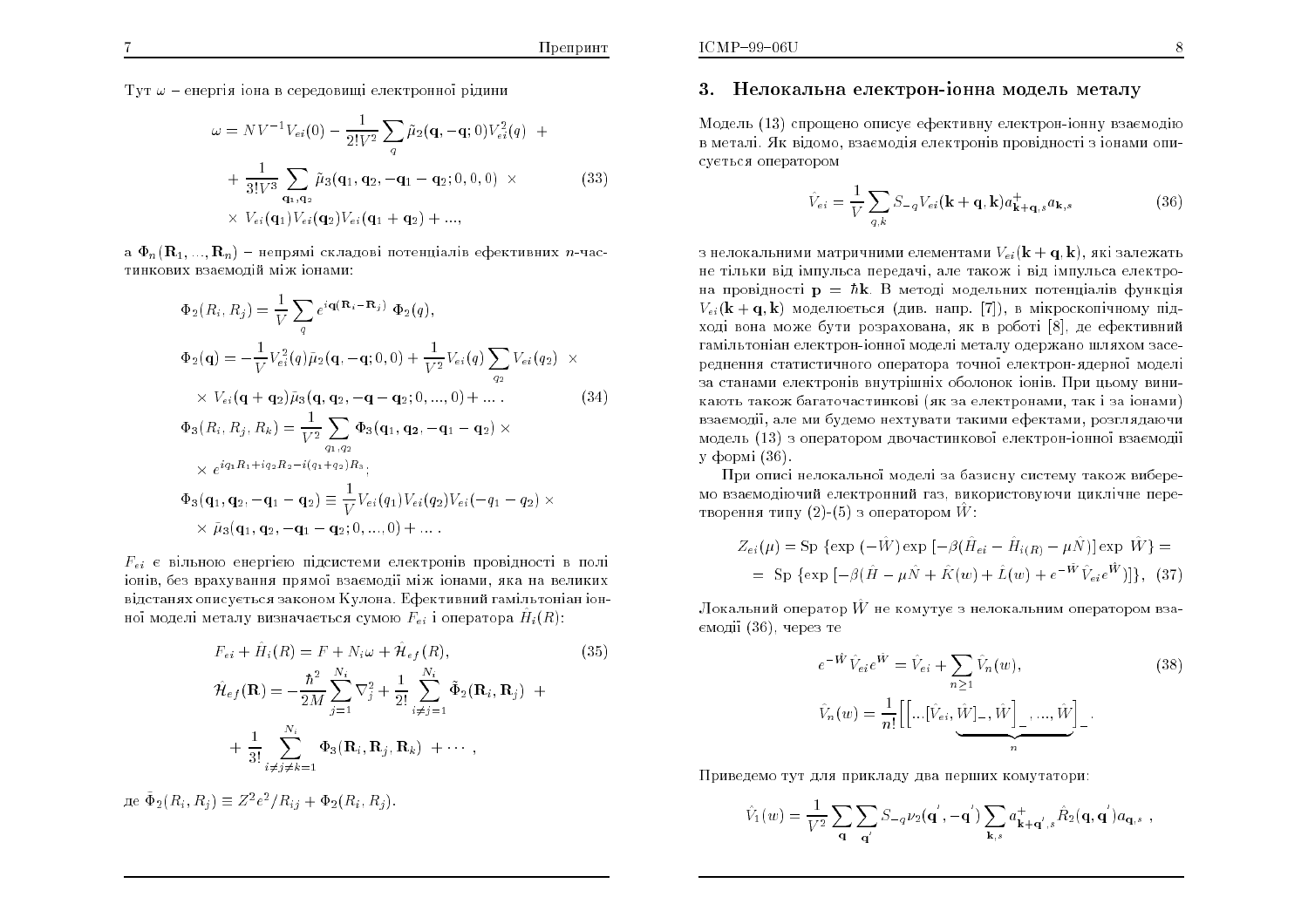8

Тут  $\omega$  - енергія іона в середовищі електронної рідини

$$
\omega = NV^{-1}V_{ei}(0) - \frac{1}{2!V^2} \sum_{q} \tilde{\mu}_2(\mathbf{q}, -\mathbf{q}; 0) V_{ei}^2(q) +
$$
  
+ 
$$
\frac{1}{3!V^3} \sum_{\mathbf{q}_1, \mathbf{q}_2} \tilde{\mu}_3(\mathbf{q}_1, \mathbf{q}_2, -\mathbf{q}_1 - \mathbf{q}_2; 0, 0, 0) \times
$$
  

$$
\times V_{ei}(\mathbf{q}_1)V_{ei}(\mathbf{q}_2)V_{ei}(\mathbf{q}_1 + \mathbf{q}_2) + ...,
$$
 (33)

а  $\Phi_n(\mathbf{R}_1, ..., \mathbf{R}_n)$  – непрямі складові потенціалів ефективних *n*-частинкових взаємолій між іонами:

$$
\Phi_{2}(R_{i}, R_{j}) = \frac{1}{V} \sum_{q} e^{i\mathbf{q}(\mathbf{R}_{i} - \mathbf{R}_{j})} \Phi_{2}(q),
$$
  
\n
$$
\Phi_{2}(\mathbf{q}) = -\frac{1}{V} V_{ei}^{2}(q) \tilde{\mu}_{2}(\mathbf{q}, -\mathbf{q}; 0, 0) + \frac{1}{V^{2}} V_{ei}(q) \sum_{q_{2}} V_{ei}(q_{2}) \times
$$
  
\n
$$
\times V_{ei}(\mathbf{q} + \mathbf{q}_{2}) \tilde{\mu}_{3}(\mathbf{q}, \mathbf{q}_{2}, -\mathbf{q} - \mathbf{q}_{2}; 0, ..., 0) + ...
$$
  
\n
$$
\Phi_{3}(R_{i}, R_{j}, R_{k}) = \frac{1}{V^{2}} \sum_{q_{1}, q_{2}} \Phi_{3}(\mathbf{q}_{1}, \mathbf{q}_{2}, -\mathbf{q}_{1} - \mathbf{q}_{2}) \times
$$
  
\n
$$
\times e^{iq_{1}R_{1} + iq_{2}R_{2} - i(q_{1} + q_{2})R_{3}},
$$
  
\n
$$
\Phi_{3}(\mathbf{q}_{1}, \mathbf{q}_{2}, -\mathbf{q}_{1} - \mathbf{q}_{2}) \equiv \frac{1}{V} V_{ei}(q_{1}) V_{ei}(q_{2}) V_{ei}(-q_{1} - q_{2}) \times
$$
  
\n
$$
\times \tilde{\mu}_{3}(\mathbf{q}_{1}, \mathbf{q}_{2}, -\mathbf{q}_{1} - \mathbf{q}_{2}; 0, ..., 0) + ...
$$

 $F_{ei}$  є вільною енергією підсистеми електронів провідності в полі іонів, без врахування прямої взаємодії між іонами, яка на великих відстанях описується законом Кулона. Ефективний гамільтоніан іонної моделі металу визначається сумою  $F_{ei}$  і оператора  $H_i(R)$ :

$$
F_{ei} + \hat{H}_i(R) = F + N_i \omega + \hat{\mathcal{H}}_{ef}(R),
$$
\n
$$
\hat{\mathcal{H}}_{ef}(\mathbf{R}) = -\frac{\hbar^2}{2M} \sum_{j=1}^{N_i} \nabla_j^2 + \frac{1}{2!} \sum_{i \neq j=1}^{N_i} \tilde{\Phi}_2(\mathbf{R}_i, \mathbf{R}_j) +
$$
\n
$$
+ \frac{1}{3!} \sum_{i \neq j \neq k=1}^{N_i} \Phi_3(\mathbf{R}_i, \mathbf{R}_j, \mathbf{R}_k) + \cdots,
$$
\n(35)

 $\mu e \, \tilde{\Phi}_2(R_i, R_j) \equiv Z^2 e^2 / R_{ij} + \Phi_2(R_i, R_i).$ 

#### 3. Нелокальна електрон-іонна модель металу

Модель (13) спрощено описує ефективну електрон-іонну взаємодію в металі. Як відомо, взаємодія електронів провідності з іонами описується оператором

$$
\hat{V}_{ei} = \frac{1}{V} \sum_{q,k} S_{-q} V_{ei}(\mathbf{k} + \mathbf{q}, \mathbf{k}) a_{\mathbf{k} + \mathbf{q},s}^{+} a_{\mathbf{k},s}
$$
(36)

з нелокальними матричними елементами  $V_{ei}({\bf k}+{\bf q},{\bf k})$ , які залежать не тільки від імпульса передачі, але також і від імпульса електрона провідності  $\mathbf{p} = \hbar \mathbf{k}$ . В методі модельних потенціалів функція  $V_{ei}({\bf k}+{\bf q},{\bf k})$  моделюється (див. напр. [7]), в мікроскопічному підході вона може бути розрахована, як в роботі [8], де ефективний гамільтоніан електрон-іонної моделі металу одержано шляхом засереднення статистичного оператора точної електрон-ядерної моделі за станами електронів внутрішніх оболонок іонів. При цьому виникають також багаточастинкові (як за електронами, так і за іонами) взаємодії, але ми будемо нехтувати такими ефектами, розглядаючи модель (13) з оператором двочастинкової електрон-іонної взаємодії v формі $(36)$ .

При описі нелокальної моделі за базисну систему також виберемо взаємодіючий електронний газ, використовуючи циклічне перетворення типу  $(2)$ - $(5)$  з оператором  $\hat{W}$ :

$$
Z_{ei}(\mu) = \text{Sp} \{ \exp(-\hat{W}) \exp[-\beta(\hat{H}_{ei} - \hat{H}_{i(R)} - \mu \hat{N})] \exp \hat{W} \} =
$$
  
= Sp \{ \exp[-\beta(\hat{H} - \mu \hat{N} + \hat{K}(w) + \hat{L}(w) + e^{-\hat{W}} \hat{V}\_{ei} e^{\hat{W}})] \}, (37)

Локальний оператор  $\hat{W}$  не комутує з нелокальним оператором вза- $\epsilon$ модії  $(36)$ , через те

$$
e^{-\hat{W}}\hat{V}_{ei}e^{\hat{W}} = \hat{V}_{ei} + \sum_{n\geq 1} \hat{V}_n(w),
$$
\n
$$
\hat{V}_n(w) = \frac{1}{n!} \left[ \left[ \dots [\hat{V}_{ei}, \hat{W}]_-, \hat{W} \right]_-, \dots, \hat{W} \right].
$$
\n(38)

Приведемо тут для прикладу два перших комутатори:

$$
\hat{V}_1(w) = \frac{1}{V^2} \sum_{\mathbf{q}} \sum_{\mathbf{q}'} S_{-q} \nu_2(\mathbf{q}', -\mathbf{q}') \sum_{\mathbf{k},s} a_{\mathbf{k}+\mathbf{q}',s}^+ \hat{R}_2(\mathbf{q}, \mathbf{q}') a_{\mathbf{q},s} ,
$$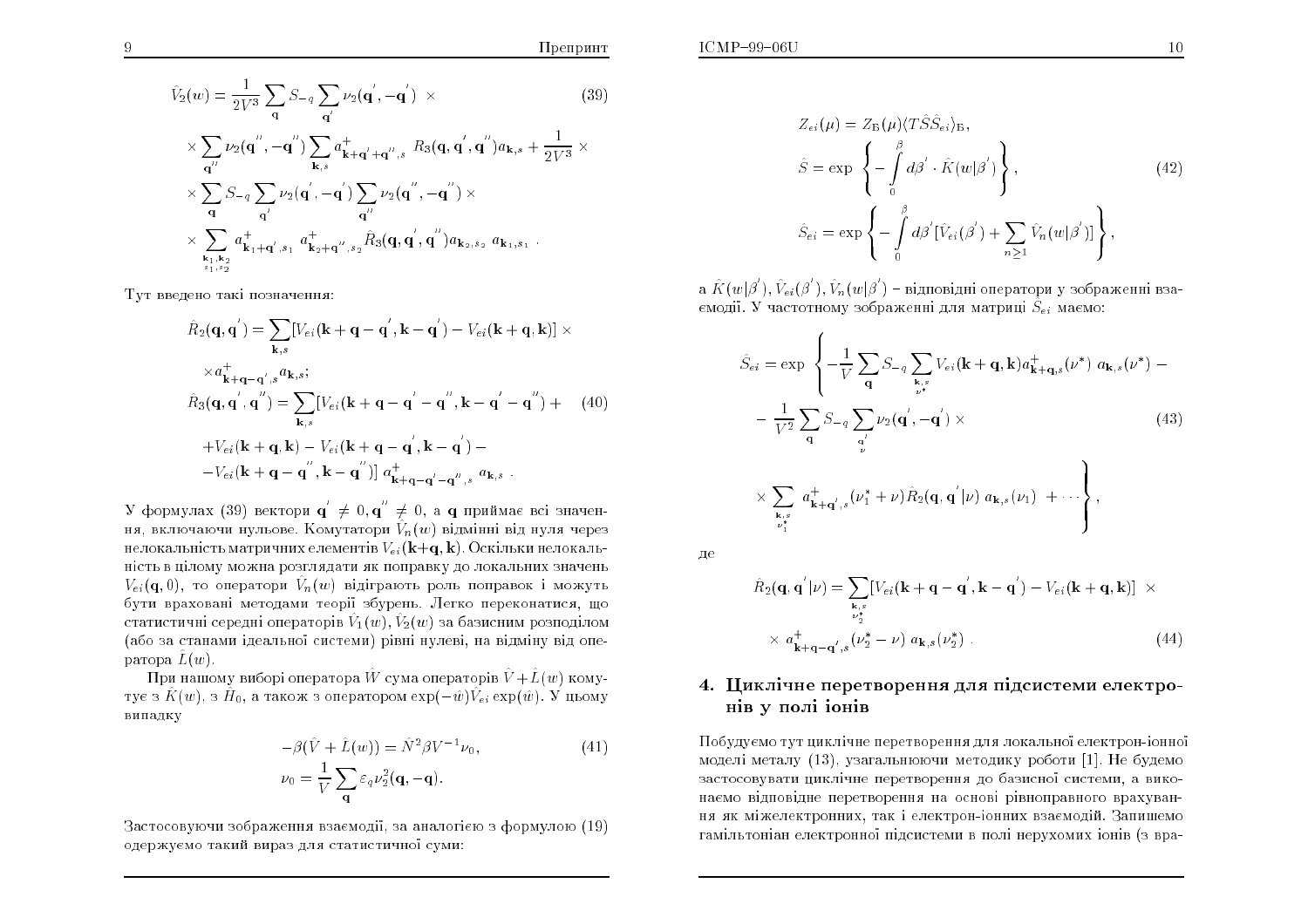9

$$
\hat{V}_2(w) = \frac{1}{2V^3} \sum_{\mathbf{q}} S_{-q} \sum_{\mathbf{q}'} \nu_2(\mathbf{q}', -\mathbf{q}') \times
$$
\n
$$
\times \sum_{\mathbf{q}''} \nu_2(\mathbf{q}'', -\mathbf{q}'') \sum_{\mathbf{k},s} a_{\mathbf{k}+\mathbf{q}'+\mathbf{q}'',s}^+ R_3(\mathbf{q}, \mathbf{q}', \mathbf{q}'') a_{\mathbf{k},s} + \frac{1}{2V^3} \times
$$
\n
$$
\times \sum_{\mathbf{q}} S_{-q} \sum_{\mathbf{q}'} \nu_2(\mathbf{q}', -\mathbf{q}') \sum_{\mathbf{q}''} \nu_2(\mathbf{q}'', -\mathbf{q}'') \times
$$
\n
$$
\times \sum_{\mathbf{k}_1, \mathbf{k}_2} a_{\mathbf{k}_1+\mathbf{q}',s_1}^+ a_{\mathbf{k}_2+\mathbf{q}'',s_2}^+ \hat{R}_3(\mathbf{q}, \mathbf{q}', \mathbf{q}'') a_{\mathbf{k}_2,s_2}^- a_{\mathbf{k}_1,s_1}^-.
$$
\n(39)

Тут введено такі позначення:

1

$$
\hat{R}_2(\mathbf{q}, \mathbf{q}') = \sum_{\mathbf{k}, s} [V_{ei}(\mathbf{k} + \mathbf{q} - \mathbf{q}', \mathbf{k} - \mathbf{q}') - V_{ei}(\mathbf{k} + \mathbf{q}, \mathbf{k})] \times
$$
\n
$$
\times a_{\mathbf{k} + \mathbf{q} - \mathbf{q}', s}^{\dagger} a_{\mathbf{k}, s};
$$
\n
$$
\hat{R}_3(\mathbf{q}, \mathbf{q}', \mathbf{q}'') = \sum_{\mathbf{k}, s} [V_{ei}(\mathbf{k} + \mathbf{q} - \mathbf{q}' - \mathbf{q}'', \mathbf{k} - \mathbf{q}' - \mathbf{q}'') + (40)
$$
\n
$$
+ V_{ei}(\mathbf{k} + \mathbf{q}, \mathbf{k}) - V_{ei}(\mathbf{k} + \mathbf{q} - \mathbf{q}', \mathbf{k} - \mathbf{q}') -
$$
\n
$$
- V_{ei}(\mathbf{k} + \mathbf{q} - \mathbf{q}'', \mathbf{k} - \mathbf{q}'')] a_{\mathbf{k} + \mathbf{q} - \mathbf{q}'', s}^{\dagger} a_{\mathbf{k}, s}.
$$

У формулах (39) вектори  $\mathbf{q}' \neq 0, \mathbf{q}'' \neq 0$ , а  $\mathbf{q}$  приймає всі значення, включаючи нульове. Комутатори  $\hat{V}_n(w)$  відмінні від нуля через нелокальність матричних елементів  $V_{ei}({\bf k+q},{\bf k})$ . Оскільки нелокальність в цілому можна розглядати як поправку до локальних значень  $V_{ei}({\bf q},0)$ , то оператори  $\hat{V}_n(w)$  відіграють роль поправок і можуть бути враховані методами теорії збурень. Легко переконатися, що статистичні середні операторів  $\hat{V}_1(w), \hat{V}_2(w)$  за базисним розподілом (або за станами ідеальної системи) рівні нулеві, на відміну від оператора  $\hat{L}(w)$ .

При нашому виборі оператора  $\hat{W}$  сума операторів  $\hat{V}+\hat{L}(w)$  комутує з  $\hat{K}(w),$  з  $\hat{H}_0$ , а також з оператором  $\exp(-\hat{w})\hat{V}_{ei}\exp(\hat{w})$ .  ${\rm V}$  цьому випадку

$$
-\beta(\hat{V} + \hat{L}(w)) = \hat{N}^2 \beta V^{-1} \nu_0,
$$
  
\n
$$
\nu_0 = \frac{1}{V} \sum_{\mathbf{q}} \varepsilon_q \nu_2^2(\mathbf{q}, -\mathbf{q}).
$$
\n(41)

Застосовуючи зображення взаємодії, за аналогією з формулою (19)<br>... одержуємо такий вираз для статистичної суми:

$$
Z_{ei}(\mu) = Z_{\mathbf{B}}(\mu) \langle T\hat{S}\hat{S}_{ei} \rangle_{\mathbf{B}},
$$
  
\n
$$
\hat{S} = \exp \left\{-\int_{0}^{\beta} d\beta' \cdot \hat{K}(w|\beta')\right\},
$$
  
\n
$$
\hat{S}_{ei} = \exp \left\{-\int_{0}^{\beta} d\beta' [\hat{V}_{ei}(\beta') + \sum_{n \ge 1} \hat{V}_n(w|\beta')] \right\},
$$
\n(42)

а  $\hat{K}(w|\beta'), \hat{V}_{ei}(\beta'), \hat{V}_n(w|\beta')$  – відповідні оператори у зображенні взаємодії. У частотному зображенні для матриці  $\hat{S}_{ei}$  маємо:

$$
\hat{S}_{ei} = \exp \left\{ -\frac{1}{V} \sum_{\mathbf{q}} S_{-q} \sum_{\substack{\mathbf{k}, s \\ \nu^{*}}} V_{ei}(\mathbf{k} + \mathbf{q}, \mathbf{k}) a_{\mathbf{k} + \mathbf{q}, s}^{+}(\nu^{*}) a_{\mathbf{k}, s}(\nu^{*}) - \frac{1}{V^{2}} \sum_{\mathbf{q}} S_{-q} \sum_{\substack{\mathbf{q}' \\ \nu}} \nu_{2}(\mathbf{q}', -\mathbf{q}') \times \right\}
$$
\n
$$
\times \sum_{\substack{\mathbf{k}, s \\ \nu^{*}_{1}}} a_{\mathbf{k} + \mathbf{q}', s}^{+}(\nu_{1}^{*} + \nu) \hat{R}_{2}(\mathbf{q}, \mathbf{q}'|\nu) a_{\mathbf{k}, s}(\nu_{1}) + \cdots \right\},
$$
\n(43)

Дe

$$
\hat{R}_2(\mathbf{q}, \mathbf{q'}|\nu) = \sum_{\substack{\mathbf{k}, s \\ \nu_2^*}} [V_{ei}(\mathbf{k} + \mathbf{q} - \mathbf{q'}, \mathbf{k} - \mathbf{q'}) - V_{ei}(\mathbf{k} + \mathbf{q}, \mathbf{k})] \times
$$
  
 
$$
\times a_{\mathbf{k} + \mathbf{q} - \mathbf{q'}, s}^+ (\nu_2^* - \nu) a_{\mathbf{k}, s}(\nu_2^*).
$$
 (44)

## 4. Циклічне перетворення для підсистеми електронів у полі і<mark>оні</mark>в

Побудуємо тут циклічне перетворення для локальної електрон-іонної моделі металу (13), узагальнюючи методику роботи [1]. Не будемо застосовувати циклічне перетворення до базисної системи, а виконаємо відповідне перетворення на основі рівноправного врахування як міжелектронних, так і електрон-іонних взаємодій. Запишемо гамільтоніан електронної підсистеми в полі нерухомих іонів (з вра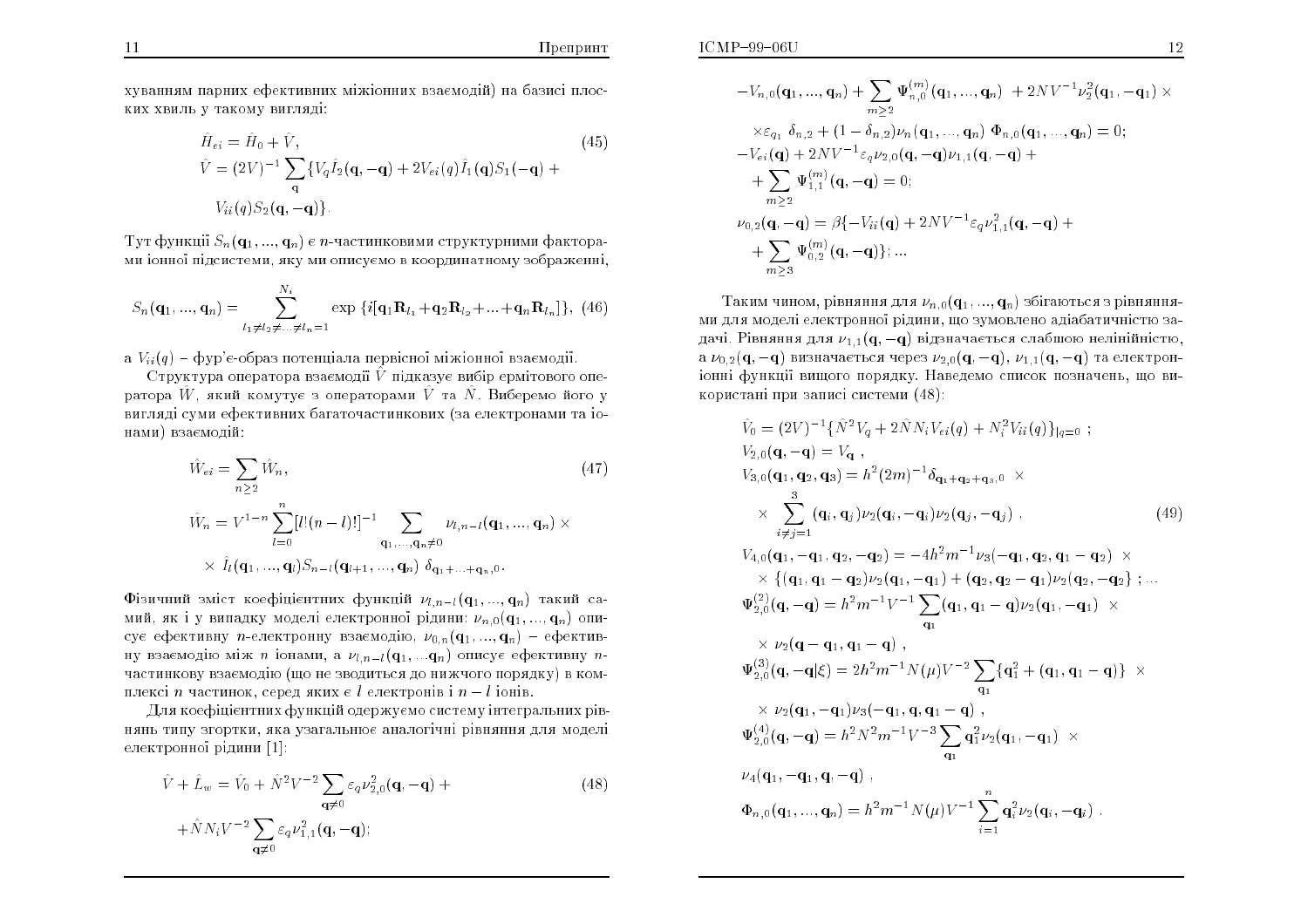хуванням парних ефективних міжіонних взаємолій) на базисі плоских хвиль у такому вигляді:

$$
\hat{H}_{ei} = \hat{H}_0 + \hat{V},
$$
\n
$$
\hat{V} = (2V)^{-1} \sum_{\mathbf{q}} \{ V_q \hat{I}_2 (\mathbf{q}, -\mathbf{q}) + 2V_{ei}(q) \hat{I}_1 (\mathbf{q}) S_1 (-\mathbf{q}) + V_{ii}(q) S_2 (\mathbf{q}, -\mathbf{q}) \}.
$$
\n(45)

Тут функції  $S_n(\mathbf{q}_1,...,\mathbf{q}_n)$  є *п*-частинковими структурними факторами іонної підсистеми, яку ми описуємо в координатному зображенні.

$$
S_n(\mathbf{q}_1, ..., \mathbf{q}_n) = \sum_{l_1 \neq l_2 \neq ... \neq l_n = 1}^{N_i} \exp \{i[\mathbf{q}_1 \mathbf{R}_{l_1} + \mathbf{q}_2 \mathbf{R}_{l_2} + ... + \mathbf{q}_n \mathbf{R}_{l_n}]\}, (46)
$$

а  $V_{ii}(q)$  – фур'є-образ потенціала первісної міжіонної взаємодії.

Структура оператора взаємодії  $\hat{V}$  підказує вибір ермітового оператора  $\hat{W}$ , який комутує з операторами  $\hat{V}$  та  $\hat{N}$ . Виберемо його у вигляді суми ефективних багаточастинкових (за електронами та іонами) взаємодій:

$$
\hat{W}_{ei} = \sum_{n \ge 2} \hat{W}_n, \qquad (47)
$$
\n
$$
\hat{W}_n = V^{1-n} \sum_{l=0}^n [l!(n-l)!]^{-1} \sum_{\mathbf{q}_1, \dots, \mathbf{q}_n \ne 0} \nu_{l,n-l}(\mathbf{q}_1, \dots, \mathbf{q}_n) \times
$$
\n
$$
\times \hat{I}_l(\mathbf{q}_1, \dots, \mathbf{q}_l) S_{n-l}(\mathbf{q}_{l+1}, \dots, \mathbf{q}_n) \delta_{\mathbf{q}_1 + \dots + \mathbf{q}_n, 0}.
$$

Фізичний зміст коефіцієнтних функцій  $\nu_{l,n-l}(\mathbf{q}_{1},...,\mathbf{q}_{n})$  такий самий, як і у випадку моделі електронної рідини:  $\nu_{n,0}(\mathbf{q}_1,...,\mathbf{q}_n)$  описує ефективну *п*-електронну взаємодію,  $\nu_{0,n}(\mathbf{q}_1,...,\mathbf{q}_n)$  - ефективну взаємодію між *n* іонами, а  $\nu_{l,n-l}(\mathbf{q}_1,...\mathbf{q}_n)$  описує ефективну *n*частинкову взаємодію (що не зводиться до нижчого порядку) в комплексі *n* частинок, серед яких є  $l$  електронів і  $n - l$  іонів.

Для коефіцієнтних функцій одержуємо систему інтегральних рівнянь типу згортки, яка узагальнює аналогічні рівняння для моделі електронної рідини [1]:

$$
\hat{V} + \hat{L}_w = \hat{V}_0 + \hat{N}^2 V^{-2} \sum_{\mathbf{q} \neq 0} \varepsilon_q \nu_{2,0}^2(\mathbf{q}, -\mathbf{q}) +
$$
\n
$$
+ \hat{N} N_i V^{-2} \sum_{\mathbf{q} \neq 0} \varepsilon_q \nu_{1,1}^2(\mathbf{q}, -\mathbf{q});
$$
\n(48)

$$
-V_{n,0}(\mathbf{q}_1, ..., \mathbf{q}_n) + \sum_{m \geq 2} \Psi_{n,0}^{(m)}(\mathbf{q}_1, ..., \mathbf{q}_n) + 2NV^{-1}\nu_2^2(\mathbf{q}_1, -\mathbf{q}_1) \times
$$
  
\n
$$
\times \varepsilon_{q_1} \delta_{n,2} + (1 - \delta_{n,2})\nu_n(\mathbf{q}_1, ..., \mathbf{q}_n) \Phi_{n,0}(\mathbf{q}_1, ..., \mathbf{q}_n) = 0;
$$
  
\n
$$
-V_{ei}(\mathbf{q}) + 2NV^{-1}\varepsilon_q \nu_{2,0}(\mathbf{q}, -\mathbf{q})\nu_{1,1}(\mathbf{q}, -\mathbf{q}) +
$$
  
\n
$$
+ \sum_{m \geq 2} \Psi_{1,1}^{(m)}(\mathbf{q}, -\mathbf{q}) = 0;
$$
  
\n
$$
\nu_{0,2}(\mathbf{q}, -\mathbf{q}) = \beta \{-V_{ii}(\mathbf{q}) + 2NV^{-1}\varepsilon_q \nu_{1,1}^2(\mathbf{q}, -\mathbf{q}) +
$$
  
\n
$$
+ \sum_{m \geq 3} \Psi_{0,2}^{(m)}(\mathbf{q}, -\mathbf{q})\}; ...
$$

Таким чином, рівняння для  $\nu_{n,0}(\mathbf{q}_1,...,\mathbf{q}_n)$  збігаються з рівняннями для моделі електронної рідини, що зумовлено адіабатичністю задачі. Рівняння для  $\nu_{1,1}(\mathbf{q},-\mathbf{q})$  відзначається слабшою нелінійністю, а  $\nu_{0,2}(\mathbf{q},-\mathbf{q})$  визначається через  $\nu_{2,0}(\mathbf{q},-\mathbf{q}), \nu_{1,1}(\mathbf{q},-\mathbf{q})$  та електроніонні функції вищого порядку. Наведемо список позначень, що використані при записі системи (48):

$$
\hat{V}_0 = (2V)^{-1} {\hat{N}^2 V_q + 2\hat{N} N_i V_{ei}(q) + N_i^2 V_{ii}(q) \}_{|q=0};
$$
\n
$$
V_{2,0}(\mathbf{q}, -\mathbf{q}) = V_{\mathbf{q}},
$$
\n
$$
V_{3,0}(\mathbf{q}_1, \mathbf{q}_2, \mathbf{q}_3) = h^2 (2m)^{-1} \delta_{\mathbf{q}_1 + \mathbf{q}_2 + \mathbf{q}_3,0} \times
$$
\n
$$
\times \sum_{i \neq j=1}^3 (\mathbf{q}_i, \mathbf{q}_j) \nu_2(\mathbf{q}_i, -\mathbf{q}_i) \nu_2(\mathbf{q}_j, -\mathbf{q}_j) ,
$$
\n
$$
V_{4,0}(\mathbf{q}_1, -\mathbf{q}_1, \mathbf{q}_2, -\mathbf{q}_2) = -4h^2 m^{-1} \nu_3 (-\mathbf{q}_1, \mathbf{q}_2, \mathbf{q}_1 - \mathbf{q}_2) \times
$$
\n
$$
\times \{ (\mathbf{q}_1, \mathbf{q}_1 - \mathbf{q}_2) \nu_2(\mathbf{q}_1, -\mathbf{q}_1) + (\mathbf{q}_2, \mathbf{q}_2 - \mathbf{q}_1) \nu_2(\mathbf{q}_2, -\mathbf{q}_2) ; \dots
$$
\n
$$
\Psi_{2,0}^{(2)}(\mathbf{q}, -\mathbf{q}) = h^2 m^{-1} V^{-1} \sum_{\mathbf{q}_1} (\mathbf{q}_1, \mathbf{q}_1 - \mathbf{q}) \nu_2(\mathbf{q}_1, -\mathbf{q}_1) \times
$$
\n
$$
\times \nu_2(\mathbf{q} - \mathbf{q}_1, \mathbf{q}_1 - \mathbf{q}) ,
$$
\n
$$
\Psi_{2,0}^{(3)}(\mathbf{q}, -\mathbf{q}|\xi) = 2h^2 m^{-1} N(\mu) V^{-2} \sum_{\mathbf{q}_1} {\mathbf{q}_1^2 + (\mathbf{q}_1, \mathbf{q}_1 - \mathbf{q})} \times
$$
\n
$$
\times \nu_2(\mathbf{q}_1, -\mathbf{q}_1) \nu_3(-\mathbf{q}_1, \mathbf
$$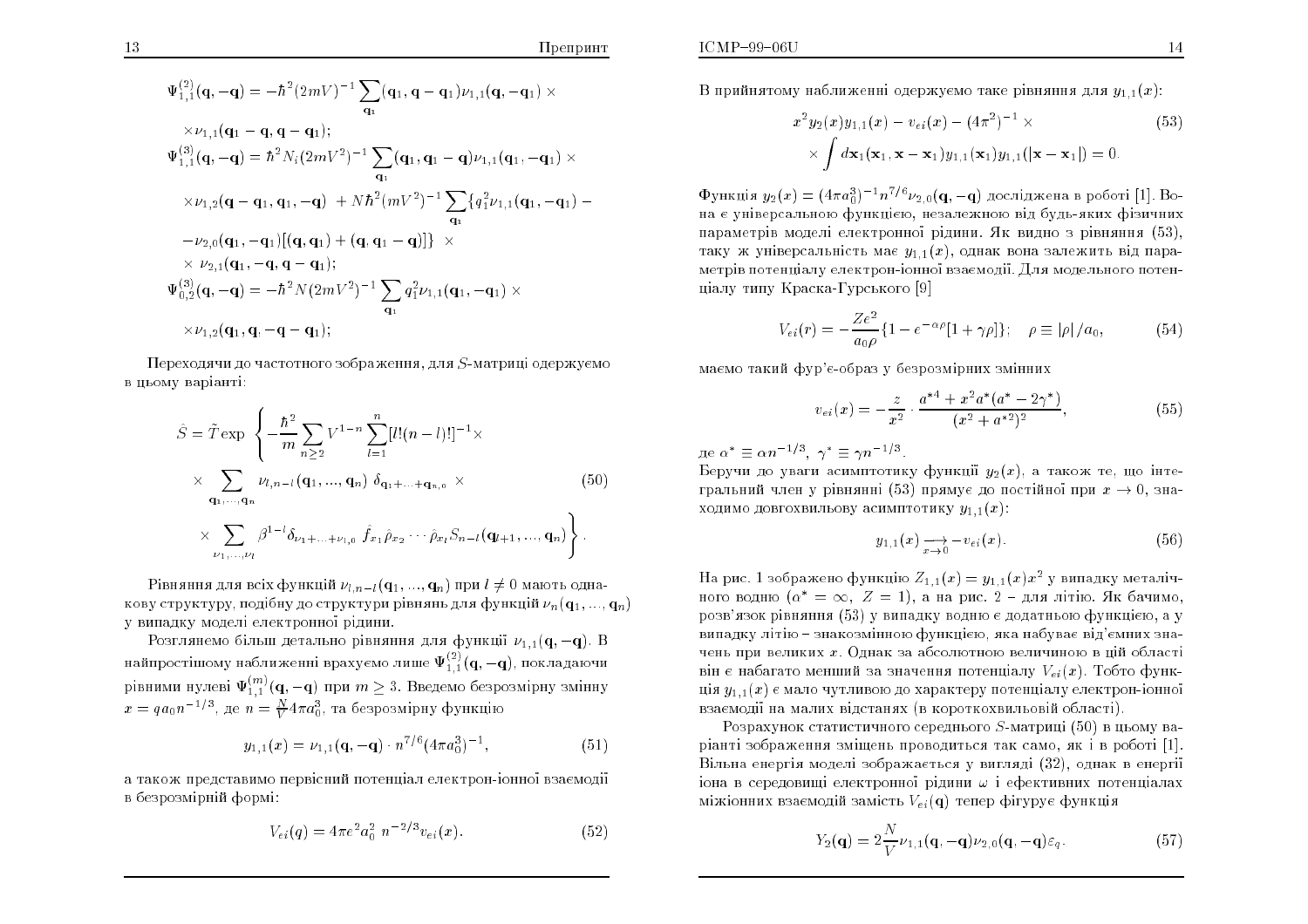$$
\Psi_{1,1}^{(2)}(\mathbf{q},-\mathbf{q}) = -\hbar^2 (2mV)^{-1} \sum_{\mathbf{q}_1} (\mathbf{q}_1, \mathbf{q} - \mathbf{q}_1) \nu_{1,1}(\mathbf{q}, -\mathbf{q}_1) \times
$$
  
\n
$$
\times \nu_{1,1}(\mathbf{q}_1 - \mathbf{q}, \mathbf{q} - \mathbf{q}_1);
$$
  
\n
$$
\Psi_{1,1}^{(3)}(\mathbf{q},-\mathbf{q}) = \hbar^2 N_i (2mV^2)^{-1} \sum_{\mathbf{q}_1} (\mathbf{q}_1, \mathbf{q}_1 - \mathbf{q}) \nu_{1,1}(\mathbf{q}_1, -\mathbf{q}_1) \times
$$
  
\n
$$
\times \nu_{1,2}(\mathbf{q} - \mathbf{q}_1, \mathbf{q}_1, -\mathbf{q}) + N \hbar^2 (mV^2)^{-1} \sum_{\mathbf{q}_1} \{q_1^2 \nu_{1,1}(\mathbf{q}_1, -\mathbf{q}_1) -
$$
  
\n
$$
-\nu_{2,0}(\mathbf{q}_1, -\mathbf{q}_1) [(\mathbf{q}, \mathbf{q}_1) + (\mathbf{q}, \mathbf{q}_1 - \mathbf{q})] \} \times
$$
  
\n
$$
\times \nu_{2,1}(\mathbf{q}_1, -\mathbf{q}, \mathbf{q} - \mathbf{q}_1);
$$
  
\n
$$
\Psi_{0,2}^{(3)}(\mathbf{q}, -\mathbf{q}) = -\hbar^2 N (2mV^2)^{-1} \sum_{\mathbf{q}_1} q_1^2 \nu_{1,1}(\mathbf{q}_1, -\mathbf{q}_1) \times
$$
  
\n
$$
\times \nu_{1,2}(\mathbf{q}_1, \mathbf{q}, -\mathbf{q} - \mathbf{q}_1);
$$

Переходячи до частотного зображення, для S-матриці одержуємо в цьому варіанті:

$$
\hat{S} = \tilde{T} \exp \left\{ -\frac{\hbar^2}{m} \sum_{n \ge 2} V^{1-n} \sum_{l=1}^n [l!(n-l)!]^{-1} \times \right.\times \sum_{\mathbf{q}_1, \dots, \mathbf{q}_n} \nu_{l,n-l}(\mathbf{q}_1, \dots, \mathbf{q}_n) \delta_{\mathbf{q}_1 + \dots + \mathbf{q}_{n,0}} \times \left( 50 \right)\times \sum_{\nu_1, \dots, \nu_l} \beta^{1-l} \delta_{\nu_1 + \dots + \nu_{l,0}} \hat{f}_{x_1} \hat{\rho}_{x_2} \cdots \hat{\rho}_{x_l} S_{n-l}(\mathbf{q}_{l+1}, \dots, \mathbf{q}_n) \right\}.
$$
\n(50)

Рівняння для всіх функцій  $\nu_{l,n-l}(\mathbf{q}_1,...,\mathbf{q}_n)$  при  $l\neq 0$  мають однакову структуру, подібну до структури рівнянь для функцій  $\nu_n(\mathbf{q}_1, ..., \mathbf{q}_n)$ у випадку моделі електронної рідини.

Розглянемо більш детально рівняння для функції  $\nu_{1,1}(\mathbf{q},-\mathbf{q})$ . В найпростішому наближенні врахуємо лише  $\Psi^{(2)}_{1,1}(\mathbf{q},-\mathbf{q})$ , покладаючи рівними нулеві  $\Psi_{1,1}^{(m)}(q,-q)$  при  $m\geq 3$ . Введемо безрозмірну змінну  $x = qa_0 n^{-1/3}$ , де  $n = \frac{N}{V} 4\pi a_0^3$ , та безрозмірну функцію

$$
y_{1,1}(x) = \nu_{1,1}(\mathbf{q}, -\mathbf{q}) \cdot n^{7/6} (4\pi a_0^3)^{-1}, \tag{51}
$$

а також представимо первісний потенціал електрон-іонної взаємодії в безрозмірній формі:

$$
V_{ei}(q) = 4\pi e^2 a_0^2 n^{-2/3} v_{ei}(x).
$$
 (52)

В прийнятому наближенні одержуємо таке рівняння для  $y_{1,1}(x)$ .

$$
x^{2} y_{2}(x) y_{1,1}(x) - v_{ei}(x) - (4\pi^{2})^{-1} \times \times \int d\mathbf{x}_{1}(\mathbf{x}_{1}, \mathbf{x} - \mathbf{x}_{1}) y_{1,1}(\mathbf{x}_{1}) y_{1,1}(|\mathbf{x} - \mathbf{x}_{1}|) = 0.
$$
\n(53)

Функція  $y_2(x) = (4\pi a_0^3)^{-1} n^{7/6} \nu_{2,0}(\mathbf{q},-\mathbf{q})$  досліджена в роботі [1]. Вона є універсальною функцією, незалежною від буль-яких фізичних параметрів моделі електронної рідини. Як видно з рівняння (53), таку ж універсальність має  $y_{1,1}(x)$ , однак вона залежить від параметрів потеншалу електрон-іонної взаємодії. Для модельного потенніалу типу Краска-Гурського [9]

$$
V_{ei}(r) = -\frac{Ze^2}{a_0\rho} \{ 1 - e^{-\alpha \rho} [1 + \gamma \rho] \}; \quad \rho \equiv |\rho| / a_0,
$$
 (54)

маємо такий фур'є-образ у безрозмірних змінних

$$
v_{ei}(x) = -\frac{z}{x^2} \cdot \frac{a^{*4} + x^2 a^* (a^* - 2\gamma^*)}{(x^2 + a^{*2})^2},\tag{55}
$$

де  $\alpha^* \equiv \alpha n^{-1/3}, \ \gamma^* \equiv \gamma n^{-1/3}.$ 

Беручи до уваги асимптотику функції  $y_2(x)$ , а також те, що інтегральний член у рівнянні (53) прямує до постійної при  $x \to 0$ , знаходимо довгохвильову асимптотику  $y_{1,1}(x)$ :

$$
y_{1,1}(x) \underset{x \to 0}{\longrightarrow} -v_{ei}(x). \tag{56}
$$

На рис. 1 зображено функцію  $Z_{1,1}(x) = y_{1,1}(x)x^2$  у випадку металічного водню  $(\alpha^* = \infty, Z = 1)$ , а на рис. 2 - для літію. Як бачимо, розв'язок рівняння (53) у випадку водню є додатньою функцією, а у випадку літію - знакозмінною функцією, яка набуває від'ємних значень при великих  $x$ . Однак за абсолютною величиною в ційобласті він є набагато менший за значення потенціалу  $V_{ei}(x)$ . Тобто функція  $y_{1,1}(x)$  є мало чутливою до характеру потенціалу електрон-іонної взаємодії на малих відстанях (в короткохвильовій області).

Розрахунок статистичного середнього  $S$ -матриці (50) в цьому варіанті зображення зміщень проводиться так само, як і в роботі [1]. Вільна енергія моделі зображається у вигляді (32), однак в енергії іона в середовищі електронної рідини  $\omega$  і ефективних потенціалах міжіонних взаємодій замість  $V_{ei}(\mathbf{q})$  тепер фігурує функція

$$
Y_2(\mathbf{q}) = 2\frac{N}{V}\nu_{1,1}(\mathbf{q}, -\mathbf{q})\nu_{2,0}(\mathbf{q}, -\mathbf{q})\varepsilon_q.
$$
 (57)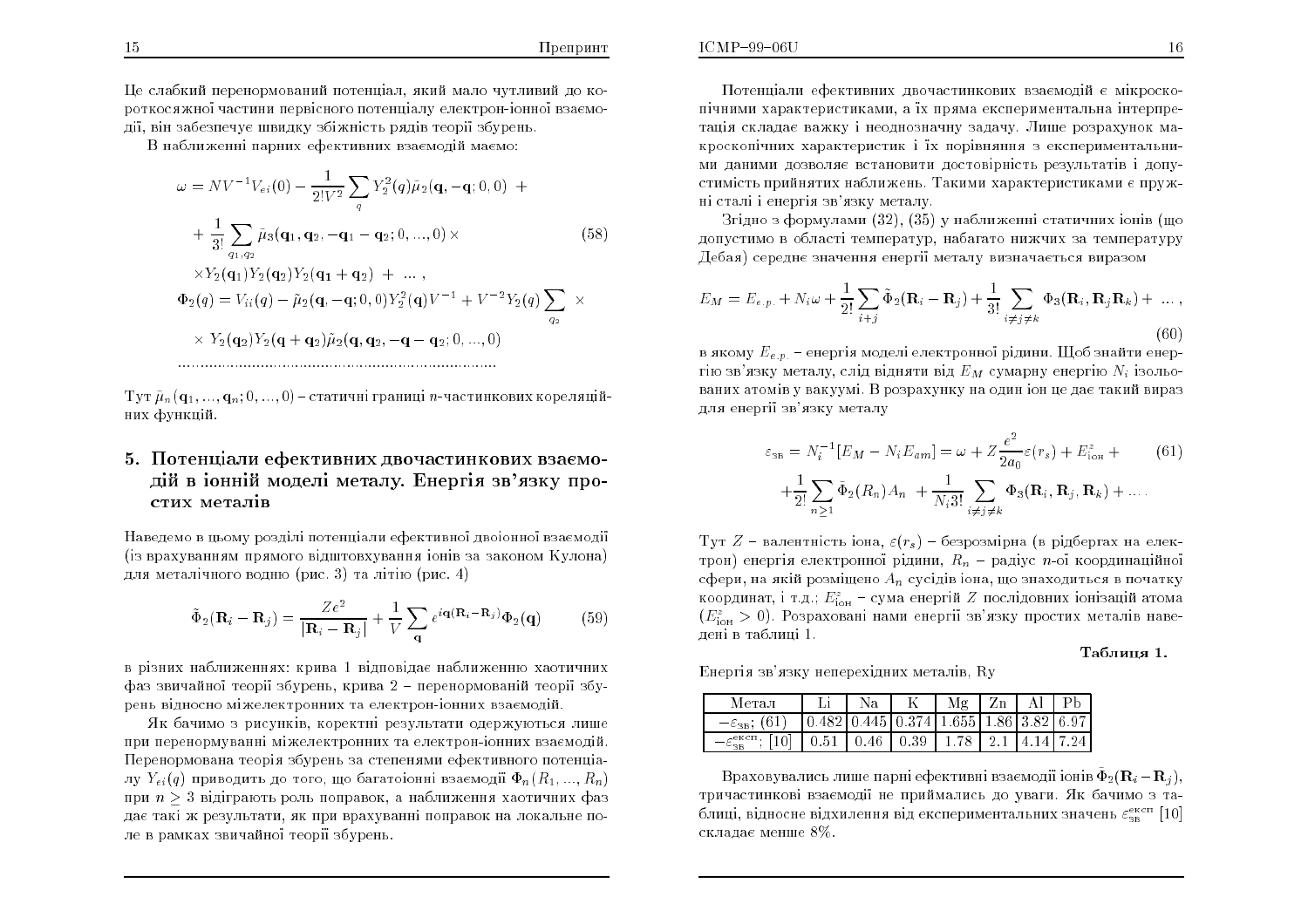$q_2$ 

Пе слабкий перенормований потенціал, який мало чутливий до короткосяжної частини первісного потенціалу електрон-іонної взаємодії, він забезпечує швидку збіжність рядів теорії збурень.

В наближенні парних ефективних взаємодій маємо:

$$
\omega = NV^{-1}V_{ei}(0) - \frac{1}{2!V^2} \sum_{q} Y_2^2(q)\tilde{\mu}_2(\mathbf{q}, -\mathbf{q}; 0, 0) +
$$
  
+ 
$$
\frac{1}{3!} \sum_{q_1, q_2} \tilde{\mu}_3(\mathbf{q}_1, \mathbf{q}_2, -\mathbf{q}_1 - \mathbf{q}_2; 0, ..., 0) \times
$$
  

$$
\times Y_2(\mathbf{q}_1)Y_2(\mathbf{q}_2)Y_2(\mathbf{q}_1 + \mathbf{q}_2) + ...,
$$
  

$$
\Phi_2(q) = V_{ii}(q) - \tilde{\mu}_2(\mathbf{q}, -\mathbf{q}; 0, 0)Y_2^2(\mathbf{q})V^{-1} + V^{-2}Y_2(q) \sum \times
$$

$$
\times \; Y_2(\mathbf{q}_2) Y_2(\mathbf{q}+\mathbf{q}_2) \tilde{\mu}_2(\mathbf{q},\mathbf{q}_2,-\mathbf{q}-\mathbf{q}_2;0,...,0)
$$

Тут  $\tilde{\mu}_n(\mathbf{q}_1,...,\mathbf{q}_n;0,...,0)$  – статичні границі *п*-частинкових кореляційних функцій.

### 5. Потенціали ефективних двочастинкових взаємодій в іонній моделі металу. Енергія зв'язку простих металів

Наведемо в цьому розділі потенціали ефективної двоїонної взаємодії (із врахуванням прямого відштовхування іонів за законом Кулона) для металічного водню (рис. 3) та літію (рис. 4)

$$
\tilde{\Phi}_2(\mathbf{R}_i - \mathbf{R}_j) = \frac{Ze^2}{|\mathbf{R}_i - \mathbf{R}_j|} + \frac{1}{V} \sum_{\mathbf{q}} e^{i\mathbf{q}(\mathbf{R}_i - \mathbf{R}_j)} \Phi_2(\mathbf{q})
$$
(59)

в різних наближеннях: крива 1 відповідає наближенню хаотичних фаз звичайної теорії збурень, крива  $2$  - перенормованій теорії збурень відносно міжелектронних та електрон-іонних взаємодій

Як бачимо з рисунків, коректні результати одержуються лише при перенормуванні міжелектронних та електрон-іонних взаємодій. Перенормована теорія збурень за степенями ефективного потенціалу  $Y_{ei}(q)$  приводить до того, що багатою нні взаємодії  $\Phi_n(R_1,...,R_n)$ при  $n > 3$  відіграють роль поправок, а наближення хаотичних фаз дає такі ж результати, як при врахуванні поправок на локальне поле в рамках звичайної теорії збурень.

Потенціали ефективних двочастинкових взаємодій є мікроскопічними характеристиками, а їх пряма експериментальна інтерпретація складає важку і неоднозначну задачу. Лише розрахунок макроскопічних характеристик і їх порівняння з експериментальними даними дозволяє встановити достовірність результатів і допустимість прийнятих наближень. Такими характеристиками є пружні сталі і енергія зв'язку металу.

Згідно з формулами (32), (35) у наближенні статичних іонів (що допустимо в області температур, набагато нижчих за температуру Дебая) середнє значення енергії металу визначається виразом

$$
E_M = E_{e.p.} + N_i \omega + \frac{1}{2!} \sum_{i+j} \tilde{\Phi}_2 (\mathbf{R}_i - \mathbf{R}_j) + \frac{1}{3!} \sum_{i \neq j \neq k} \Phi_3 (\mathbf{R}_i, \mathbf{R}_j \mathbf{R}_k) + \dots,
$$
\n(60)

в якому  $E_{e,p}$  – енергія моделі електронної рідини. Щоб знайти енергію зв'язку металу, слід відняти від  $E_M$  сумарну енергію  $N_i$  ізольованих атомів у вакуумі. В розрахунку на один іон це дає такий вираз для енергії зв'язку металу

$$
\varepsilon_{\text{3B}} = N_i^{-1} [E_M - N_i E_{am}] = \omega + Z \frac{e^2}{2a_0} \varepsilon(r_s) + E_{\text{ion}}^z + (61)
$$

$$
+ \frac{1}{2!} \sum_{n \ge 1} \tilde{\Phi}_2(R_n) A_n + \frac{1}{N_i 3!} \sum_{i \ne j \ne k} \Phi_3(\mathbf{R}_i, \mathbf{R}_j, \mathbf{R}_k) + \dots
$$

Тут Z - валентність іона,  $\varepsilon(r_s)$  - безрозмірна (в рідбергах на електрон) енергія електронної рідини,  $R_n$  - радіус *n*-ої координаційної сфери, на якій розміщено  $A_n$  сусідів іона, що знаходиться в початку координат, і т.д.;  $E_{\text{ion}}^z$  - сума енергій Z послідовних іонізацій атома  $(E_{\text{ion}}^{z} > 0)$ . Розраховані нами енергії зв'язку простих металів навелені в таблиці 1.

#### Таблиця 1.

Енергія зв'язку неперехідних металів, Ry

| Метал                                                      | Nа                                                  | Mε | Zn           |   |         |
|------------------------------------------------------------|-----------------------------------------------------|----|--------------|---|---------|
|                                                            | $.482$   0.445   0.374   1.655   1.86   3.82   6.97 |    |              |   |         |
| $\epsilon$ <sub><math>\kappa</math></sub> $\epsilon$ $\pi$ | $.51 \pm 0.46 \pm 0.39 \pm 1.78$                    |    | $\mathbf{P}$ | Δ | 1417 24 |

Враховувались лише парні ефективні взаємодії іонів  $\tilde{\Phi}_2(\mathbf{R}_i - \mathbf{R}_i)$ тричастинкові взаємодії не приймались до уваги. Як бачимо з таблиці, відносне відхилення від експериментальних значень  $\varepsilon_{\text{eq}}^{\text{excn}}$  [10] складає менше 8%.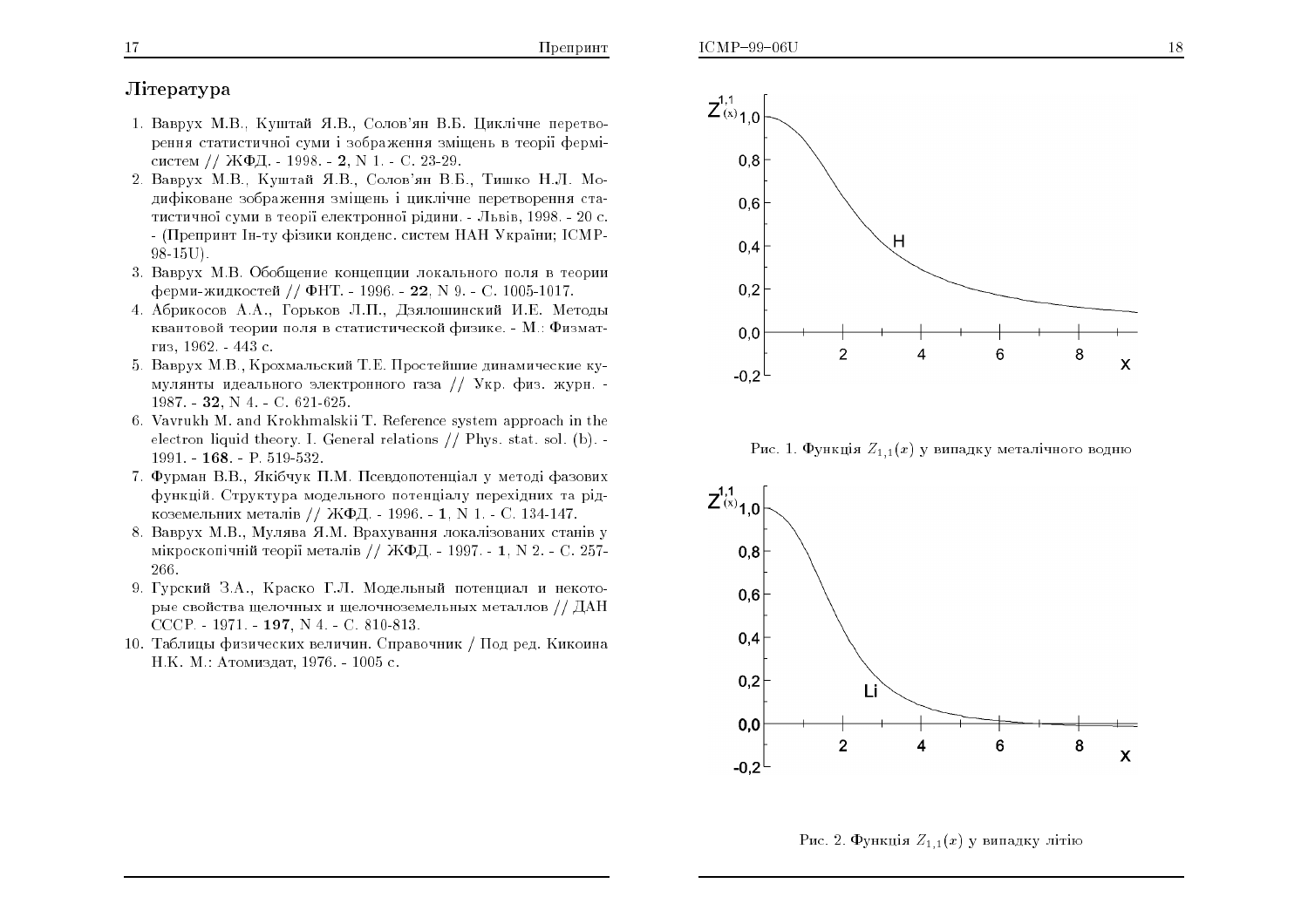## Jireparvpa

- 1. Ваврух М.В., Куштай Я.В., Солов'ян В.Б. Циклічне перетворення статистичної суми і зображення зміщень в теорії фермісистем // ЖФД. - 1998. - **2**, N 1. - С. 23-29.<br>Рођења
- 2. Ваврух М.В., Куштай Я.В., Солов'ян В.Б., Тишко Н.Л. Модифіковане зображення зміщень і циклічне перетворення статистичної суми в теорії електронної рідини. - Львів, 1998. - 20 с. - (Препринт Ін-ту фізики конденс. систем НАН України; ICMP-<br>00. 1511) 98-15U).
- 3. Ваврух М.В. Обобщение концепции локального поля в теории ферми-жидкостей // ФНТ. - 1996. - 22, N 9. - C. 1005-1017.
- 4. Абрикосов А.А., Горьков Л.П., Дзялошинский И.Е. Методы<br>. квантовой теории поля в статистической физике. - М.: Физматгиз, 1962. - 443 с.
- 5. Ваврух М.В., Крохмальский Т.Е. Простейшие динамические кумулянты идеального электронного газа // Укр. физ. журн. -<br>1007 – 20 N 4 – C (01.005  $1987. - 32, N 4. - C. 621-625.$
- 6. Vavrukh M. and Krokhmalskii T. Referen
e system approa h in theelectron liquid theory. I. General relations // Phys. stat. sol. (b). - $1991. - 168. - P. 519-532.$
- 7. Фурман В.В., Якібчук П.М. Псевдопотенціал у методі фазових функцій. Структура модельного потенціалу перехідних та рідкоземельних металів // ЖФД. - 1996. - 1, N 1. - С. 134-147.
- 8. Ваврух М.В., Мулява Я.М. Врахування локалізованих станів у мікроскопічній теорії металів // ЖФД. - 1997. - 1, N 2. - C. 257-266.
- 9. Гурский З.А., Краско Г.Л. Модельный потенциал и некоторые свойства щелочных и щелочноземельных металлов // ДАН  $CCCP. - 1971. - 197, N 4. - C. 810-813.$
- 10. Таблицы физических величин. Справочник / Под ред. Кикоина H.K. М.: Атомиздат, 1976. - 1005 с.



Рис. 1. Функція  $Z_{1,1}(x)$  у випадку металічного водню



Рис. 2. Функція  $Z_{1,1}(x)$  у випадку літію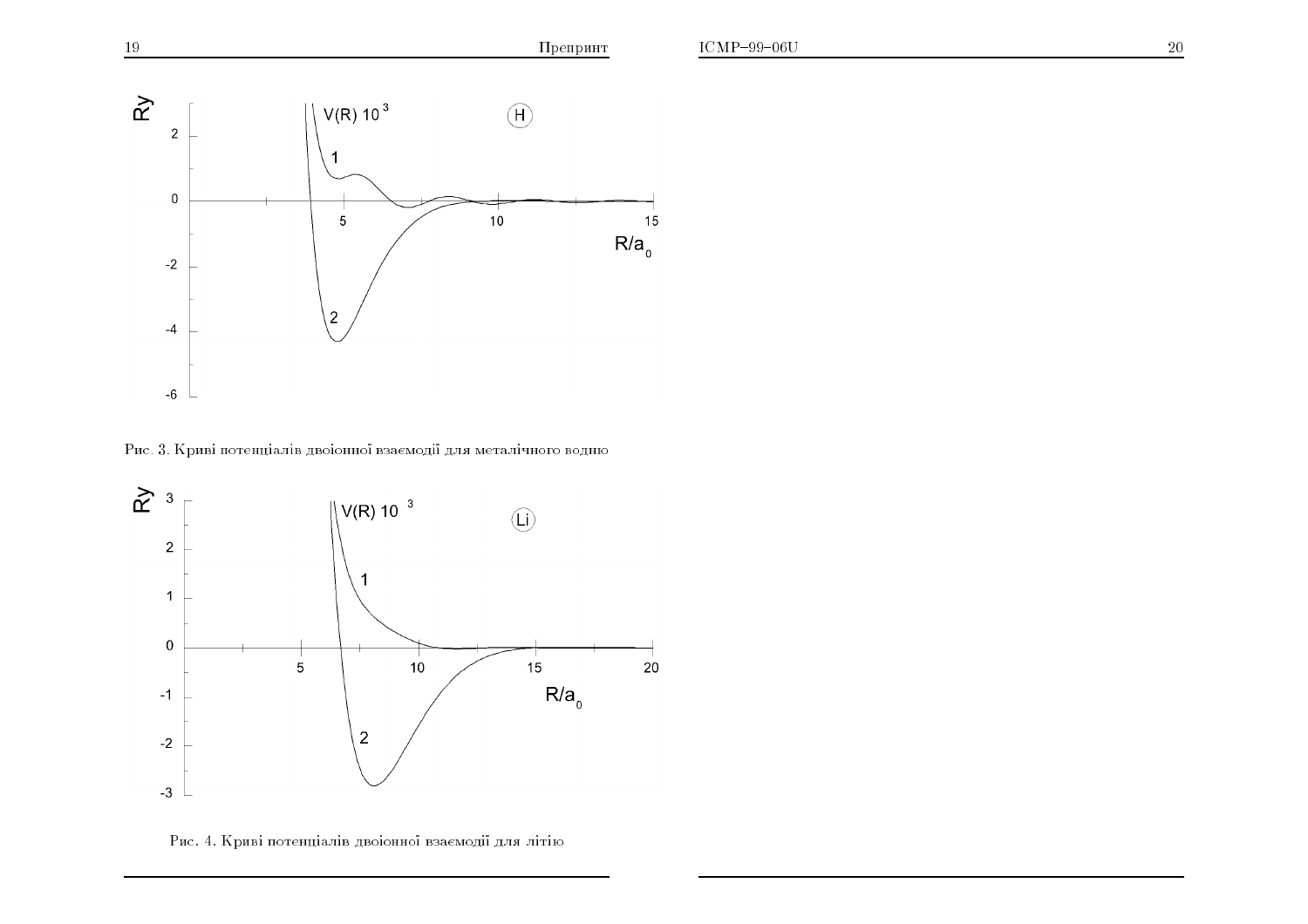

Рис. 3. Криві потенціалів двоіонної взаємодії для металічного водню



Рис. 4. Криві потенціалів двоіонної взаємодії для літію